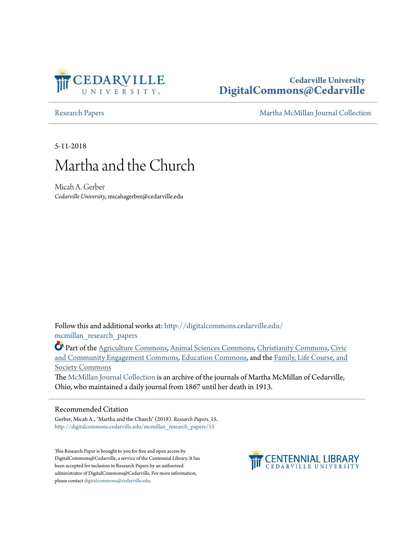

## **Cedarville University [DigitalCommons@Cedarville](http://digitalcommons.cedarville.edu?utm_source=digitalcommons.cedarville.edu%2Fmcmillan_research_papers%2F15&utm_medium=PDF&utm_campaign=PDFCoverPages)**

[Research Papers](http://digitalcommons.cedarville.edu/mcmillan_research_papers?utm_source=digitalcommons.cedarville.edu%2Fmcmillan_research_papers%2F15&utm_medium=PDF&utm_campaign=PDFCoverPages) **[Martha McMillan Journal Collection](http://digitalcommons.cedarville.edu/mcmillan_journal_collection?utm_source=digitalcommons.cedarville.edu%2Fmcmillan_research_papers%2F15&utm_medium=PDF&utm_campaign=PDFCoverPages)** 

5-11-2018

# Martha and the Church

Micah A. Gerber *Cedarville University*, micahagerber@cedarville.edu

Follow this and additional works at: [http://digitalcommons.cedarville.edu/](http://digitalcommons.cedarville.edu/mcmillan_research_papers?utm_source=digitalcommons.cedarville.edu%2Fmcmillan_research_papers%2F15&utm_medium=PDF&utm_campaign=PDFCoverPages) [mcmillan\\_research\\_papers](http://digitalcommons.cedarville.edu/mcmillan_research_papers?utm_source=digitalcommons.cedarville.edu%2Fmcmillan_research_papers%2F15&utm_medium=PDF&utm_campaign=PDFCoverPages)

Part of the [Agriculture Commons](http://network.bepress.com/hgg/discipline/1076?utm_source=digitalcommons.cedarville.edu%2Fmcmillan_research_papers%2F15&utm_medium=PDF&utm_campaign=PDFCoverPages), [Animal Sciences Commons,](http://network.bepress.com/hgg/discipline/76?utm_source=digitalcommons.cedarville.edu%2Fmcmillan_research_papers%2F15&utm_medium=PDF&utm_campaign=PDFCoverPages) [Christianity Commons](http://network.bepress.com/hgg/discipline/1181?utm_source=digitalcommons.cedarville.edu%2Fmcmillan_research_papers%2F15&utm_medium=PDF&utm_campaign=PDFCoverPages), [Civic](http://network.bepress.com/hgg/discipline/1028?utm_source=digitalcommons.cedarville.edu%2Fmcmillan_research_papers%2F15&utm_medium=PDF&utm_campaign=PDFCoverPages) [and Community Engagement Commons,](http://network.bepress.com/hgg/discipline/1028?utm_source=digitalcommons.cedarville.edu%2Fmcmillan_research_papers%2F15&utm_medium=PDF&utm_campaign=PDFCoverPages) [Education Commons,](http://network.bepress.com/hgg/discipline/784?utm_source=digitalcommons.cedarville.edu%2Fmcmillan_research_papers%2F15&utm_medium=PDF&utm_campaign=PDFCoverPages) and the [Family, Life Course, and](http://network.bepress.com/hgg/discipline/419?utm_source=digitalcommons.cedarville.edu%2Fmcmillan_research_papers%2F15&utm_medium=PDF&utm_campaign=PDFCoverPages) [Society Commons](http://network.bepress.com/hgg/discipline/419?utm_source=digitalcommons.cedarville.edu%2Fmcmillan_research_papers%2F15&utm_medium=PDF&utm_campaign=PDFCoverPages)

The [McMillan Journal Collection](http://digitalcommons.cedarville.edu/mcmillan_journal_collection/) is an archive of the journals of Martha McMillan of Cedarville, Ohio, who maintained a daily journal from 1867 until her death in 1913.

### Recommended Citation

Gerber, Micah A., "Martha and the Church" (2018). *Research Papers*. 15. [http://digitalcommons.cedarville.edu/mcmillan\\_research\\_papers/15](http://digitalcommons.cedarville.edu/mcmillan_research_papers/15?utm_source=digitalcommons.cedarville.edu%2Fmcmillan_research_papers%2F15&utm_medium=PDF&utm_campaign=PDFCoverPages)

This Research Paper is brought to you for free and open access by DigitalCommons@Cedarville, a service of the Centennial Library. It has been accepted for inclusion in Research Papers by an authorized administrator of DigitalCommons@Cedarville. For more information, please contact [digitalcommons@cedarville.edu.](mailto:digitalcommons@cedarville.edu)

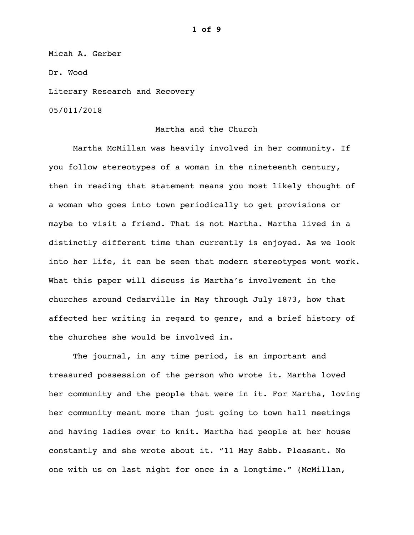Micah A. Gerber

Dr. Wood

Literary Research and Recovery

05/011/2018

#### Martha and the Church

 Martha McMillan was heavily involved in her community. If you follow stereotypes of a woman in the nineteenth century, then in reading that statement means you most likely thought of a woman who goes into town periodically to get provisions or maybe to visit a friend. That is not Martha. Martha lived in a distinctly different time than currently is enjoyed. As we look into her life, it can be seen that modern stereotypes wont work. What this paper will discuss is Martha's involvement in the churches around Cedarville in May through July 1873, how that affected her writing in regard to genre, and a brief history of the churches she would be involved in.

 The journal, in any time period, is an important and treasured possession of the person who wrote it. Martha loved her community and the people that were in it. For Martha, loving her community meant more than just going to town hall meetings and having ladies over to knit. Martha had people at her house constantly and she wrote about it. "11 May Sabb. Pleasant. No one with us on last night for once in a longtime." (McMillan,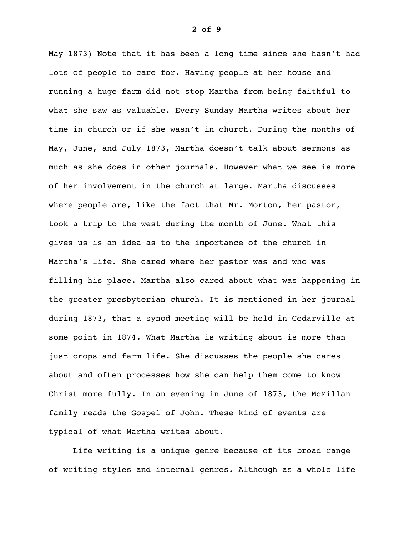May 1873) Note that it has been a long time since she hasn't had lots of people to care for. Having people at her house and running a huge farm did not stop Martha from being faithful to what she saw as valuable. Every Sunday Martha writes about her time in church or if she wasn't in church. During the months of May, June, and July 1873, Martha doesn't talk about sermons as much as she does in other journals. However what we see is more of her involvement in the church at large. Martha discusses where people are, like the fact that Mr. Morton, her pastor, took a trip to the west during the month of June. What this gives us is an idea as to the importance of the church in Martha's life. She cared where her pastor was and who was filling his place. Martha also cared about what was happening in the greater presbyterian church. It is mentioned in her journal during 1873, that a synod meeting will be held in Cedarville at some point in 1874. What Martha is writing about is more than just crops and farm life. She discusses the people she cares about and often processes how she can help them come to know Christ more fully. In an evening in June of 1873, the McMillan family reads the Gospel of John. These kind of events are typical of what Martha writes about.

 Life writing is a unique genre because of its broad range of writing styles and internal genres. Although as a whole life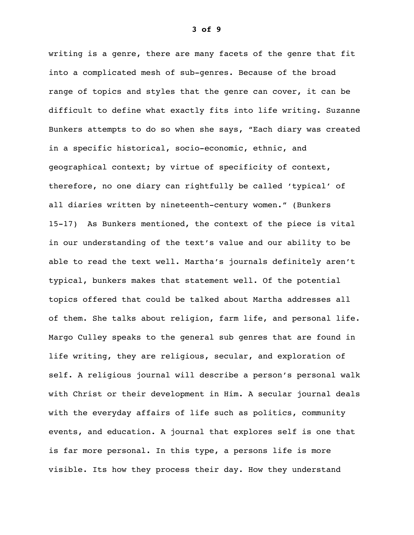writing is a genre, there are many facets of the genre that fit into a complicated mesh of sub-genres. Because of the broad range of topics and styles that the genre can cover, it can be difficult to define what exactly fits into life writing. Suzanne Bunkers attempts to do so when she says, "Each diary was created in a specific historical, socio-economic, ethnic, and geographical context; by virtue of specificity of context, therefore, no one diary can rightfully be called 'typical' of all diaries written by nineteenth-century women." (Bunkers 15-17) As Bunkers mentioned, the context of the piece is vital in our understanding of the text's value and our ability to be able to read the text well. Martha's journals definitely aren't typical, bunkers makes that statement well. Of the potential topics offered that could be talked about Martha addresses all of them. She talks about religion, farm life, and personal life. Margo Culley speaks to the general sub genres that are found in life writing, they are religious, secular, and exploration of self. A religious journal will describe a person's personal walk with Christ or their development in Him. A secular journal deals with the everyday affairs of life such as politics, community events, and education. A journal that explores self is one that is far more personal. In this type, a persons life is more visible. Its how they process their day. How they understand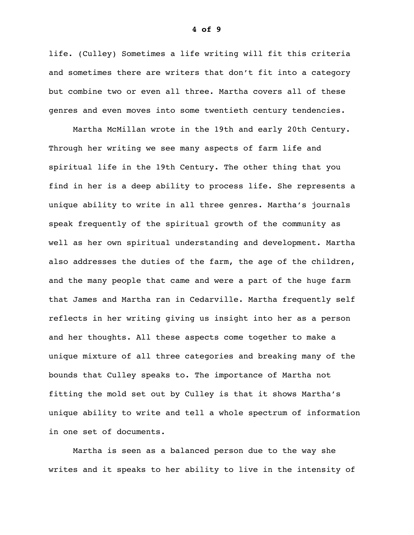life. (Culley) Sometimes a life writing will fit this criteria and sometimes there are writers that don't fit into a category but combine two or even all three. Martha covers all of these genres and even moves into some twentieth century tendencies.

 Martha McMillan wrote in the 19th and early 20th Century. Through her writing we see many aspects of farm life and spiritual life in the 19th Century. The other thing that you find in her is a deep ability to process life. She represents a unique ability to write in all three genres. Martha's journals speak frequently of the spiritual growth of the community as well as her own spiritual understanding and development. Martha also addresses the duties of the farm, the age of the children, and the many people that came and were a part of the huge farm that James and Martha ran in Cedarville. Martha frequently self reflects in her writing giving us insight into her as a person and her thoughts. All these aspects come together to make a unique mixture of all three categories and breaking many of the bounds that Culley speaks to. The importance of Martha not fitting the mold set out by Culley is that it shows Martha's unique ability to write and tell a whole spectrum of information in one set of documents.

 Martha is seen as a balanced person due to the way she writes and it speaks to her ability to live in the intensity of

**4 of 9**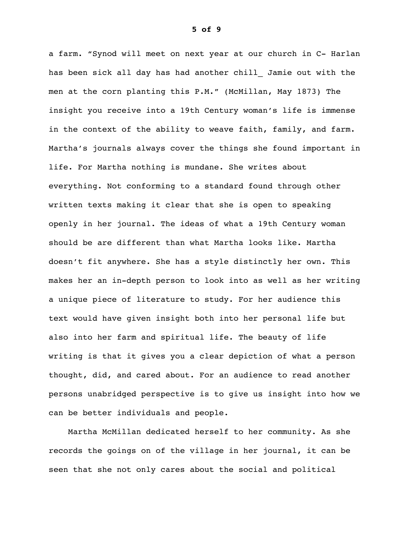a farm. "Synod will meet on next year at our church in C- Harlan has been sick all day has had another chill Jamie out with the men at the corn planting this P.M." (McMillan, May 1873) The insight you receive into a 19th Century woman's life is immense in the context of the ability to weave faith, family, and farm. Martha's journals always cover the things she found important in life. For Martha nothing is mundane. She writes about everything. Not conforming to a standard found through other written texts making it clear that she is open to speaking openly in her journal. The ideas of what a 19th Century woman should be are different than what Martha looks like. Martha doesn't fit anywhere. She has a style distinctly her own. This makes her an in-depth person to look into as well as her writing a unique piece of literature to study. For her audience this text would have given insight both into her personal life but also into her farm and spiritual life. The beauty of life writing is that it gives you a clear depiction of what a person thought, did, and cared about. For an audience to read another persons unabridged perspective is to give us insight into how we can be better individuals and people.

 Martha McMillan dedicated herself to her community. As she records the goings on of the village in her journal, it can be seen that she not only cares about the social and political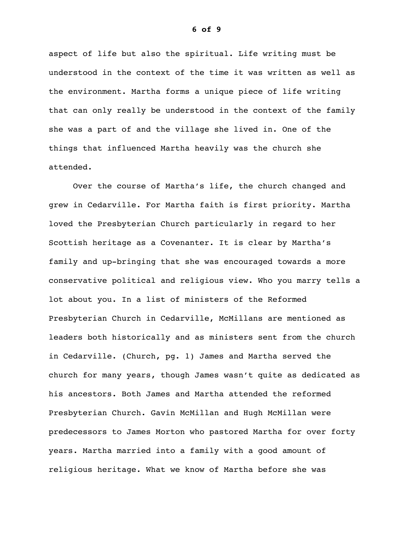aspect of life but also the spiritual. Life writing must be understood in the context of the time it was written as well as the environment. Martha forms a unique piece of life writing that can only really be understood in the context of the family she was a part of and the village she lived in. One of the things that influenced Martha heavily was the church she attended.

 Over the course of Martha's life, the church changed and grew in Cedarville. For Martha faith is first priority. Martha loved the Presbyterian Church particularly in regard to her Scottish heritage as a Covenanter. It is clear by Martha's family and up-bringing that she was encouraged towards a more conservative political and religious view. Who you marry tells a lot about you. In a list of ministers of the Reformed Presbyterian Church in Cedarville, McMillans are mentioned as leaders both historically and as ministers sent from the church in Cedarville. (Church, pg. 1) James and Martha served the church for many years, though James wasn't quite as dedicated as his ancestors. Both James and Martha attended the reformed Presbyterian Church. Gavin McMillan and Hugh McMillan were predecessors to James Morton who pastored Martha for over forty years. Martha married into a family with a good amount of religious heritage. What we know of Martha before she was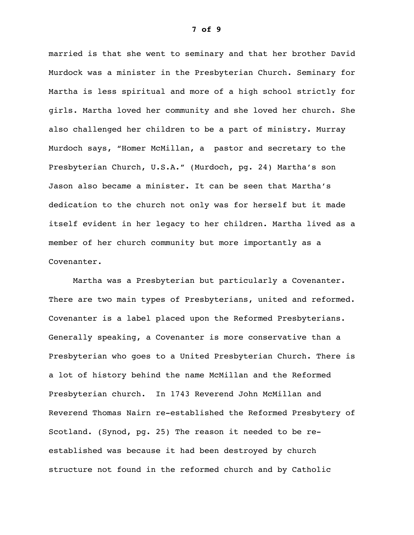married is that she went to seminary and that her brother David Murdock was a minister in the Presbyterian Church. Seminary for Martha is less spiritual and more of a high school strictly for girls. Martha loved her community and she loved her church. She also challenged her children to be a part of ministry. Murray Murdoch says, "Homer McMillan, a pastor and secretary to the Presbyterian Church, U.S.A." (Murdoch, pg. 24) Martha's son Jason also became a minister. It can be seen that Martha's dedication to the church not only was for herself but it made itself evident in her legacy to her children. Martha lived as a member of her church community but more importantly as a Covenanter.

 Martha was a Presbyterian but particularly a Covenanter. There are two main types of Presbyterians, united and reformed. Covenanter is a label placed upon the Reformed Presbyterians. Generally speaking, a Covenanter is more conservative than a Presbyterian who goes to a United Presbyterian Church. There is a lot of history behind the name McMillan and the Reformed Presbyterian church. In 1743 Reverend John McMillan and Reverend Thomas Nairn re-established the Reformed Presbytery of Scotland. (Synod, pg. 25) The reason it needed to be reestablished was because it had been destroyed by church structure not found in the reformed church and by Catholic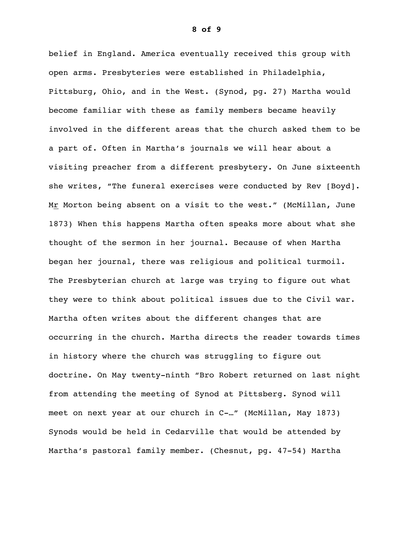belief in England. America eventually received this group with open arms. Presbyteries were established in Philadelphia, Pittsburg, Ohio, and in the West. (Synod, pg. 27) Martha would become familiar with these as family members became heavily involved in the different areas that the church asked them to be a part of. Often in Martha's journals we will hear about a visiting preacher from a different presbytery. On June sixteenth she writes, "The funeral exercises were conducted by Rev [Boyd]. Mr Morton being absent on a visit to the west." (McMillan, June 1873) When this happens Martha often speaks more about what she thought of the sermon in her journal. Because of when Martha began her journal, there was religious and political turmoil. The Presbyterian church at large was trying to figure out what they were to think about political issues due to the Civil war. Martha often writes about the different changes that are occurring in the church. Martha directs the reader towards times in history where the church was struggling to figure out doctrine. On May twenty-ninth "Bro Robert returned on last night from attending the meeting of Synod at Pittsberg. Synod will meet on next year at our church in C-…" (McMillan, May 1873) Synods would be held in Cedarville that would be attended by Martha's pastoral family member. (Chesnut, pg. 47-54) Martha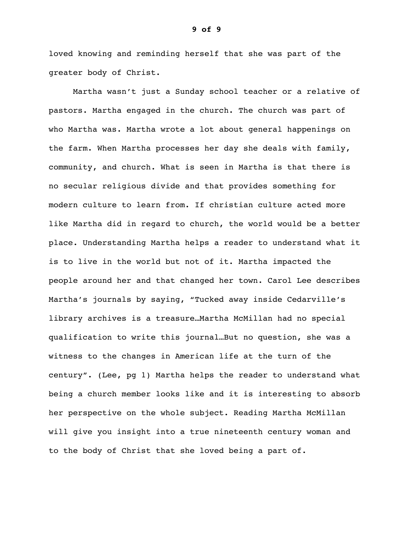loved knowing and reminding herself that she was part of the greater body of Christ.

 Martha wasn't just a Sunday school teacher or a relative of pastors. Martha engaged in the church. The church was part of who Martha was. Martha wrote a lot about general happenings on the farm. When Martha processes her day she deals with family, community, and church. What is seen in Martha is that there is no secular religious divide and that provides something for modern culture to learn from. If christian culture acted more like Martha did in regard to church, the world would be a better place. Understanding Martha helps a reader to understand what it is to live in the world but not of it. Martha impacted the people around her and that changed her town. Carol Lee describes Martha's journals by saying, "Tucked away inside Cedarville's library archives is a treasure…Martha McMillan had no special qualification to write this journal…But no question, she was a witness to the changes in American life at the turn of the century". (Lee, pg 1) Martha helps the reader to understand what being a church member looks like and it is interesting to absorb her perspective on the whole subject. Reading Martha McMillan will give you insight into a true nineteenth century woman and to the body of Christ that she loved being a part of.

#### **9 of 9**